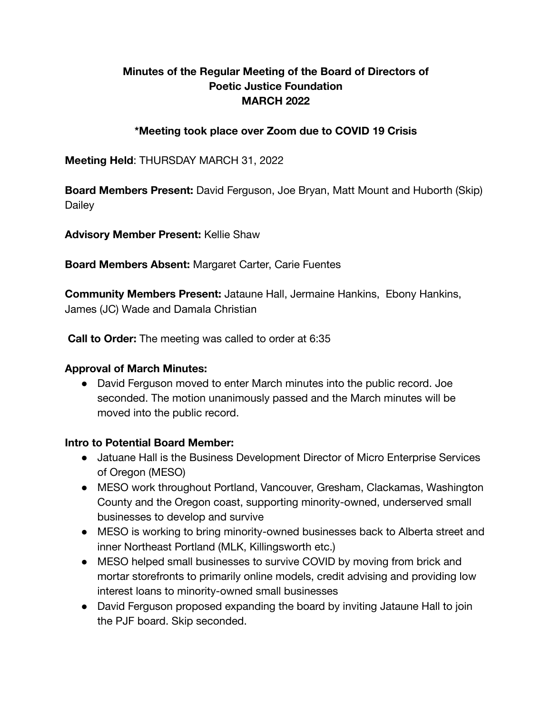## **Minutes of the Regular Meeting of the Board of Directors of Poetic Justice Foundation MARCH 2022**

### **\*Meeting took place over Zoom due to COVID 19 Crisis**

**Meeting Held**: THURSDAY MARCH 31, 2022

**Board Members Present:** David Ferguson, Joe Bryan, Matt Mount and Huborth (Skip) **Dailey** 

**Advisory Member Present:** Kellie Shaw

**Board Members Absent:** Margaret Carter, Carie Fuentes

**Community Members Present:** Jataune Hall, Jermaine Hankins, Ebony Hankins, James (JC) Wade and Damala Christian

**Call to Order:** The meeting was called to order at 6:35

## **Approval of March Minutes:**

• David Ferguson moved to enter March minutes into the public record. Joe seconded. The motion unanimously passed and the March minutes will be moved into the public record.

## **Intro to Potential Board Member:**

- Jatuane Hall is the Business Development Director of Micro Enterprise Services of Oregon (MESO)
- MESO work throughout Portland, Vancouver, Gresham, Clackamas, Washington County and the Oregon coast, supporting minority-owned, underserved small businesses to develop and survive
- MESO is working to bring minority-owned businesses back to Alberta street and inner Northeast Portland (MLK, Killingsworth etc.)
- MESO helped small businesses to survive COVID by moving from brick and mortar storefronts to primarily online models, credit advising and providing low interest loans to minority-owned small businesses
- David Ferguson proposed expanding the board by inviting Jataune Hall to join the PJF board. Skip seconded.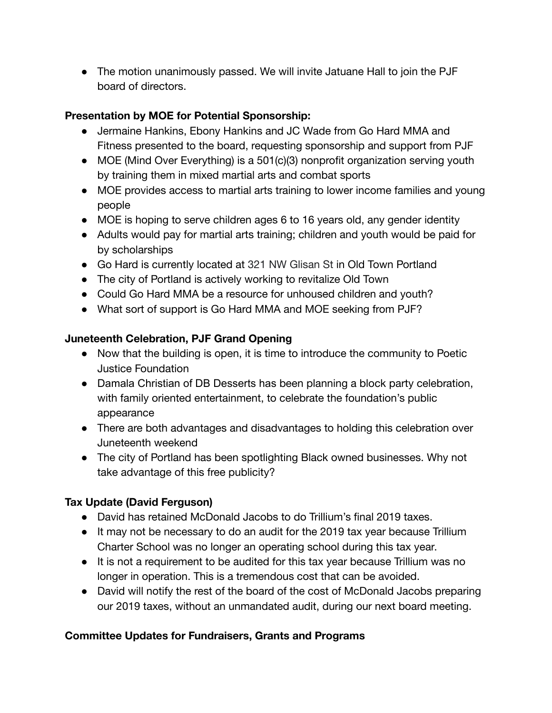• The motion unanimously passed. We will invite Jatuane Hall to join the PJF board of directors.

# **Presentation by MOE for Potential Sponsorship:**

- Jermaine Hankins, Ebony Hankins and JC Wade from Go Hard MMA and Fitness presented to the board, requesting sponsorship and support from PJF
- MOE (Mind Over Everything) is a 501(c)(3) nonprofit organization serving youth by training them in mixed martial arts and combat sports
- MOE provides access to martial arts training to lower income families and young people
- MOE is hoping to serve children ages 6 to 16 years old, any gender identity
- Adults would pay for martial arts training; children and youth would be paid for by scholarships
- Go Hard is currently located at 321 NW Glisan St in Old Town Portland
- The city of Portland is actively working to revitalize Old Town
- Could Go Hard MMA be a resource for unhoused children and youth?
- What sort of support is Go Hard MMA and MOE seeking from PJF?

# **Juneteenth Celebration, PJF Grand Opening**

- Now that the building is open, it is time to introduce the community to Poetic Justice Foundation
- Damala Christian of DB Desserts has been planning a block party celebration, with family oriented entertainment, to celebrate the foundation's public appearance
- There are both advantages and disadvantages to holding this celebration over Juneteenth weekend
- The city of Portland has been spotlighting Black owned businesses. Why not take advantage of this free publicity?

# **Tax Update (David Ferguson)**

- David has retained McDonald Jacobs to do Trillium's final 2019 taxes.
- It may not be necessary to do an audit for the 2019 tax year because Trillium Charter School was no longer an operating school during this tax year.
- It is not a requirement to be audited for this tax year because Trillium was no longer in operation. This is a tremendous cost that can be avoided.
- David will notify the rest of the board of the cost of McDonald Jacobs preparing our 2019 taxes, without an unmandated audit, during our next board meeting.

# **Committee Updates for Fundraisers, Grants and Programs**